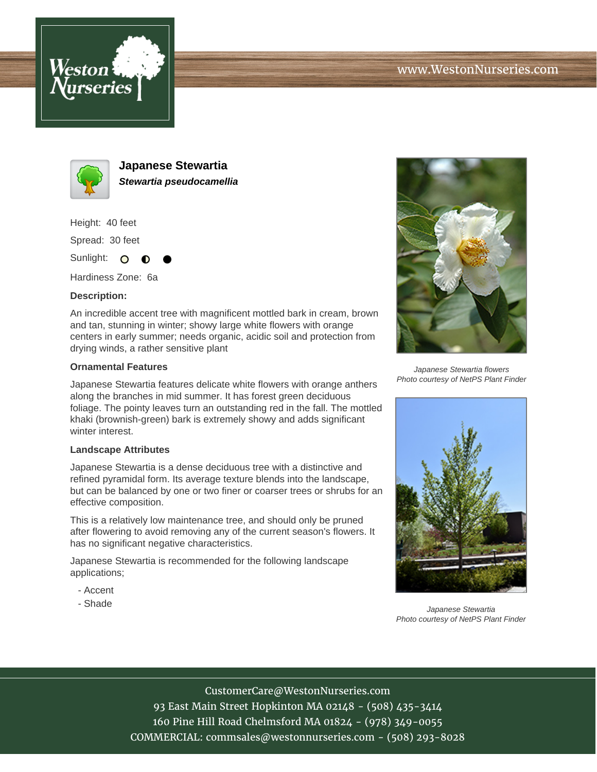



**Japanese Stewartia Stewartia pseudocamellia**

Height: 40 feet

Spread: 30 feet

Sunlight: O ∩

Hardiness Zone: 6a

## **Description:**

An incredible accent tree with magnificent mottled bark in cream, brown and tan, stunning in winter; showy large white flowers with orange centers in early summer; needs organic, acidic soil and protection from drying winds, a rather sensitive plant

## **Ornamental Features**

Japanese Stewartia features delicate white flowers with orange anthers along the branches in mid summer. It has forest green deciduous foliage. The pointy leaves turn an outstanding red in the fall. The mottled khaki (brownish-green) bark is extremely showy and adds significant winter interest.

## **Landscape Attributes**

Japanese Stewartia is a dense deciduous tree with a distinctive and refined pyramidal form. Its average texture blends into the landscape, but can be balanced by one or two finer or coarser trees or shrubs for an effective composition.

This is a relatively low maintenance tree, and should only be pruned after flowering to avoid removing any of the current season's flowers. It has no significant negative characteristics.

Japanese Stewartia is recommended for the following landscape applications;

- Accent
- Shade



Japanese Stewartia flowers Photo courtesy of NetPS Plant Finder



Japanese Stewartia Photo courtesy of NetPS Plant Finder

CustomerCare@WestonNurseries.com

93 East Main Street Hopkinton MA 02148 - (508) 435-3414 160 Pine Hill Road Chelmsford MA 01824 - (978) 349-0055 COMMERCIAL: commsales@westonnurseries.com - (508) 293-8028